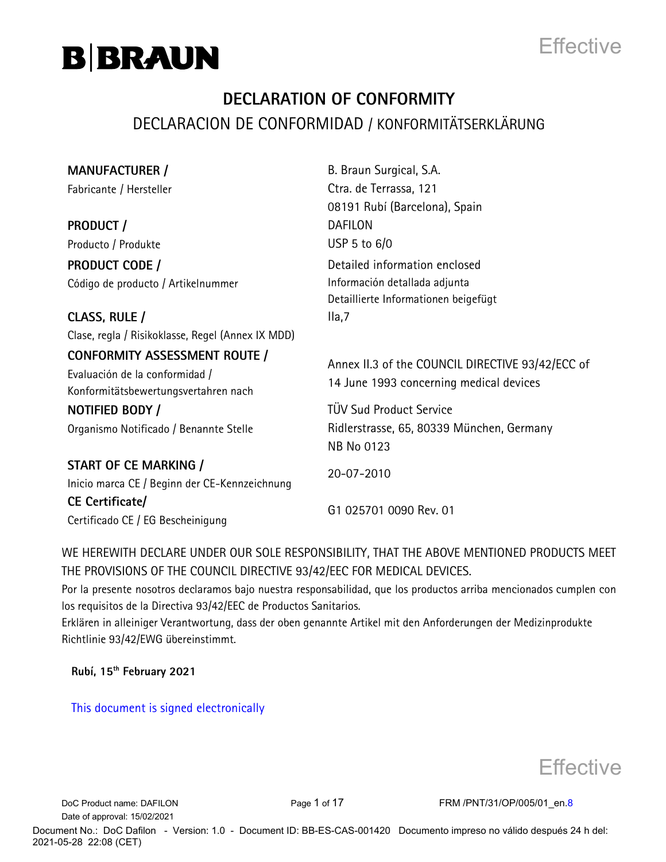



### **DECLARATION OF CONFORMITY** DECLARACION DE CONFORMIDAD / KONFORMITÄTSERKLÄRUNG

| <b>MANUFACTURER /</b>                             | B. Braun Surgical, S.A.                          |
|---------------------------------------------------|--------------------------------------------------|
| Fabricante / Hersteller                           | Ctra. de Terrassa, 121                           |
|                                                   | 08191 Rubí (Barcelona), Spain                    |
| <b>PRODUCT/</b>                                   | <b>DAFILON</b>                                   |
| Producto / Produkte                               | USP 5 to $6/0$                                   |
| <b>PRODUCT CODE /</b>                             | Detailed information enclosed                    |
| Código de producto / Artikelnummer                | Información detallada adjunta                    |
|                                                   | Detaillierte Informationen beigefügt             |
| CLASS, RULE /                                     | Ila,7                                            |
| Clase, regla / Risikoklasse, Regel (Annex IX MDD) |                                                  |
| <b>CONFORMITY ASSESSMENT ROUTE /</b>              |                                                  |
| Evaluación de la conformidad /                    | Annex II.3 of the COUNCIL DIRECTIVE 93/42/ECC of |
| Konformitätsbewertungsvertahren nach              | 14 June 1993 concerning medical devices          |
| NOTIFIED BODY /                                   | <b>TÜV Sud Product Service</b>                   |
| Organismo Notificado / Benannte Stelle            | Ridlerstrasse, 65, 80339 München, Germany        |
|                                                   | <b>NB No 0123</b>                                |
| START OF CE MARKING /                             |                                                  |
| Inicio marca CE / Beginn der CE-Kennzeichnung     | 20-07-2010                                       |
| CE Certificate/                                   |                                                  |
| Certificado CE / EG Bescheinigung                 | G1 025701 0090 Rev. 01                           |

WE HEREWITH DECLARE UNDER OUR SOLE RESPONSIBILITY, THAT THE ABOVE MENTIONED PRODUCTS MEET THE PROVISIONS OF THE COUNCIL DIRECTIVE 93/42/EEC FOR MEDICAL DEVICES.

Por la presente nosotros declaramos bajo nuestra responsabilidad, que los productos arriba mencionados cumplen con los requisitos de la Directiva 93/42/EEC de Productos Sanitarios.

Erklären in alleiniger Verantwortung, dass der oben genannte Artikel mit den Anforderungen der Medizinprodukte Richtlinie 93/42/EWG übereinstimmt.

**Rubí, 15th February 2021**

This document is signed electronically



Date of approval: 15/02/2021

DoC Product name: DAFILON Page 1 of 17 FRM /PNT/31/OP/005/01\_en.8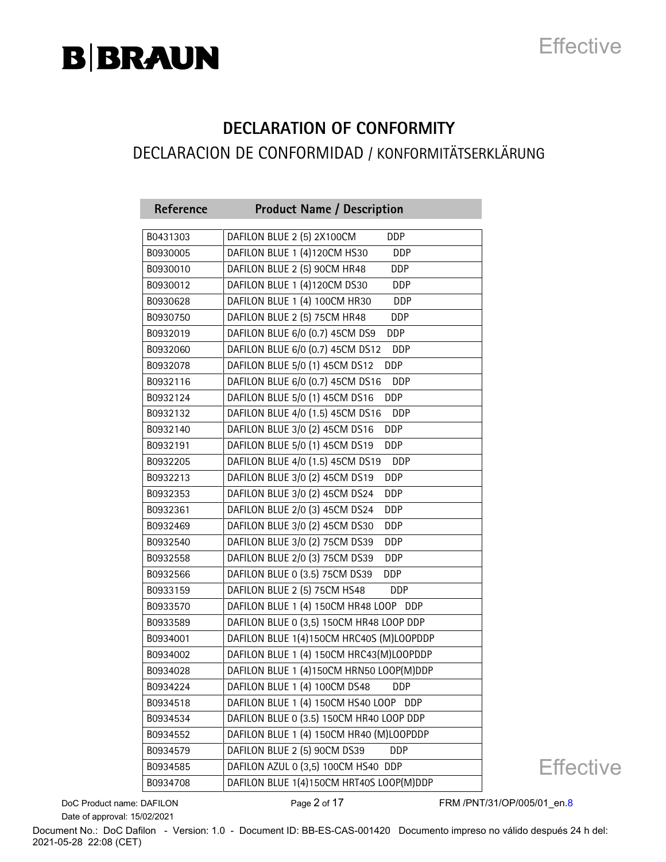## **Effective**

### **DECLARATION OF CONFORMITY** DECLARACION DE CONFORMIDAD / KONFORMITÄTSERKLÄRUNG

| Reference | <b>Product Name / Description</b>              |
|-----------|------------------------------------------------|
| B0431303  | DAFILON BLUE 2 (5) 2X100CM<br><b>DDP</b>       |
| B0930005  | DAFILON BLUE 1 (4)120CM HS30<br>DDP            |
| B0930010  | DAFILON BLUE 2 (5) 90CM HR48<br>DDP            |
| B0930012  | DAFILON BLUE 1 (4)120CM DS30<br>DDP            |
| B0930628  | DAFILON BLUE 1 (4) 100CM HR30<br>DDP           |
| B0930750  | DAFILON BLUE 2 (5) 75CM HR48<br><b>DDP</b>     |
| B0932019  | DAFILON BLUE 6/0 (0.7) 45CM DS9<br><b>DDP</b>  |
| B0932060  | DAFILON BLUE 6/0 (0.7) 45CM DS12<br><b>DDP</b> |
| B0932078  | DAFILON BLUE 5/0 (1) 45CM DS12<br><b>DDP</b>   |
| B0932116  | DAFILON BLUE 6/0 (0.7) 45CM DS16<br>DDP        |
| B0932124  | DAFILON BLUE 5/0 (1) 45CM DS16<br><b>DDP</b>   |
| B0932132  | DAFILON BLUE 4/0 (1.5) 45CM DS16<br><b>DDP</b> |
| B0932140  | DAFILON BLUE 3/0 (2) 45CM DS16<br><b>DDP</b>   |
| B0932191  | DAFILON BLUE 5/0 (1) 45CM DS19<br>DDP          |
| B0932205  | DAFILON BLUE 4/0 (1.5) 45CM DS19<br><b>DDP</b> |
| B0932213  | DAFILON BLUE 3/0 (2) 45CM DS19<br>DDP          |
| B0932353  | DAFILON BLUE 3/0 (2) 45CM DS24<br>DDP          |
| B0932361  | DAFILON BLUE 2/0 (3) 45CM DS24<br>DDP          |
| B0932469  | DAFILON BLUE 3/0 (2) 45CM DS30<br>DDP          |
| B0932540  | DAFILON BLUE 3/0 (2) 75CM DS39<br>DDP          |
| B0932558  | DAFILON BLUE 2/0 (3) 75CM DS39<br>DDP          |
| B0932566  | DAFILON BLUE 0 (3.5) 75CM DS39<br><b>DDP</b>   |
| B0933159  | DAFILON BLUE 2 (5) 75CM HS48<br>DDP            |
| B0933570  | DAFILON BLUE 1 (4) 150CM HR48 LOOP DDP         |
| B0933589  | DAFILON BLUE 0 (3,5) 150CM HR48 LOOP DDP       |
| B0934001  | DAFILON BLUE 1(4)150CM HRC40S (M)LOOPDDP       |
| B0934002  | DAFILON BLUE 1 (4) 150CM HRC43(M)LOOPDDP       |
| B0934028  | DAFILON BLUE 1 (4)150CM HRN50 LOOP(M)DDP       |
| B0934224  | DAFILON BLUE 1 (4) 100CM DS48<br>DDP           |
| B0934518  | DAFILON BLUE 1 (4) 150CM HS40 LOOP DDP         |
| B0934534  | DAFILON BLUE 0 (3.5) 150CM HR40 LOOP DDP       |
| B0934552  | DAFILON BLUE 1 (4) 150CM HR40 (M)LOOPDDP       |
| B0934579  | DAFILON BLUE 2 (5) 90CM DS39<br>DDP            |
| B0934585  | DAFILON AZUL 0 (3,5) 100CM HS40 DDP            |
| B0934708  | DAFILON BLUE 1(4)150CM HRT40S LOOP(M)DDP       |

**Effective** 

Date of approval: 15/02/2021

DoC Product name: DAFILON Page 2 of 17 FRM /PNT/31/OP/005/01\_en.8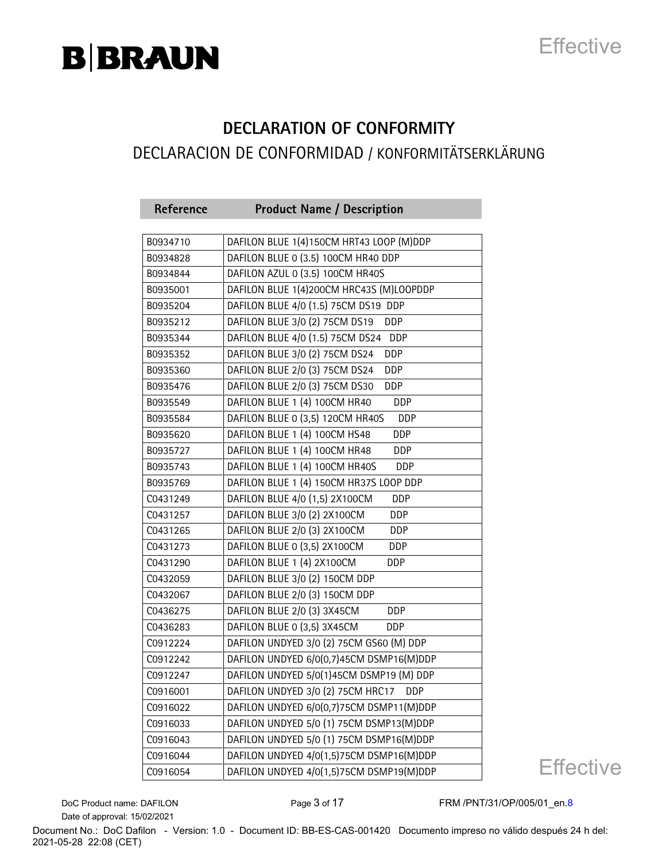## **Effective**

#### **DECLARATION OF CONFORMITY** DECLARACION DE CONFORMIDAD / KONFORMITÄTSERKLÄRUNG

| Reference | <b>Product Name / Description</b>              |
|-----------|------------------------------------------------|
|           |                                                |
| B0934710  | DAFILON BLUE 1(4)150CM HRT43 LOOP (M)DDP       |
| B0934828  | DAFILON BLUE 0 (3.5) 100CM HR40 DDP            |
| B0934844  | DAFILON AZUL 0 (3.5) 100CM HR40S               |
| B0935001  | DAFILON BLUE 1(4)200CM HRC43S (M)LOOPDDP       |
| B0935204  | DAFILON BLUE 4/0 (1.5) 75CM DS19 DDP           |
| B0935212  | DAFILON BLUE 3/0 (2) 75CM DS19<br><b>DDP</b>   |
| B0935344  | DAFILON BLUE 4/0 (1.5) 75CM DS24<br><b>DDP</b> |
| B0935352  | DAFILON BLUE 3/0 (2) 75CM DS24<br><b>DDP</b>   |
| B0935360  | DAFILON BLUE 2/0 (3) 75CM DS24<br>DDP          |
| B0935476  | DAFILON BLUE 2/0 (3) 75CM DS30<br><b>DDP</b>   |
| B0935549  | DAFILON BLUE 1 (4) 100CM HR40<br>DDP           |
| B0935584  | DAFILON BLUE 0 (3,5) 120CM HR40S<br><b>DDP</b> |
| B0935620  | DAFILON BLUE 1 (4) 100CM HS48<br>DDP           |
| B0935727  | DAFILON BLUE 1 (4) 100CM HR48<br>DDP           |
| B0935743  | DAFILON BLUE 1 (4) 100CM HR40S<br><b>DDP</b>   |
| B0935769  | DAFILON BLUE 1 (4) 150CM HR37S LOOP DDP        |
| C0431249  | DAFILON BLUE 4/0 (1,5) 2X100CM<br><b>DDP</b>   |
| C0431257  | DAFILON BLUE 3/0 (2) 2X100CM<br>DDP            |
| C0431265  | DAFILON BLUE 2/0 (3) 2X100CM<br>DDP            |
| C0431273  | DAFILON BLUE 0 (3,5) 2X100CM<br><b>DDP</b>     |
| C0431290  | DAFILON BLUE 1 (4) 2X100CM<br><b>DDP</b>       |
| C0432059  | DAFILON BLUE 3/0 (2) 150CM DDP                 |
| C0432067  | DAFILON BLUE 2/0 (3) 150CM DDP                 |
| C0436275  | DAFILON BLUE 2/0 (3) 3X45CM<br><b>DDP</b>      |
| C0436283  | DAFILON BLUE 0 (3,5) 3X45CM<br>DDP             |
| C0912224  | DAFILON UNDYED 3/0 (2) 75CM GS60 (M) DDP       |
| C0912242  | DAFILON UNDYED 6/0(0,7)45CM DSMP16(M)DDP       |
| C0912247  | DAFILON UNDYED 5/0(1)45CM DSMP19 (M) DDP       |
| C0916001  | DAFILON UNDYED 3/0 (2) 75CM HRC17<br>DDP       |
| C0916022  | DAFILON UNDYED 6/0(0,7)75CM DSMP11(M)DDP       |
| C0916033  | DAFILON UNDYED 5/0 (1) 75CM DSMP13(M)DDP       |
| C0916043  | DAFILON UNDYED 5/0 (1) 75CM DSMP16(M)DDP       |
| C0916044  | DAFILON UNDYED 4/0(1,5)75CM DSMP16(M)DDP       |
| C0916054  | DAFILON UNDYED 4/0(1,5)75CM DSMP19(M)DDP       |

**Effective** 

Date of approval: 15/02/2021

DoC Product name: DAFILON Page 3 of 17 FRM /PNT/31/OP/005/01\_en.8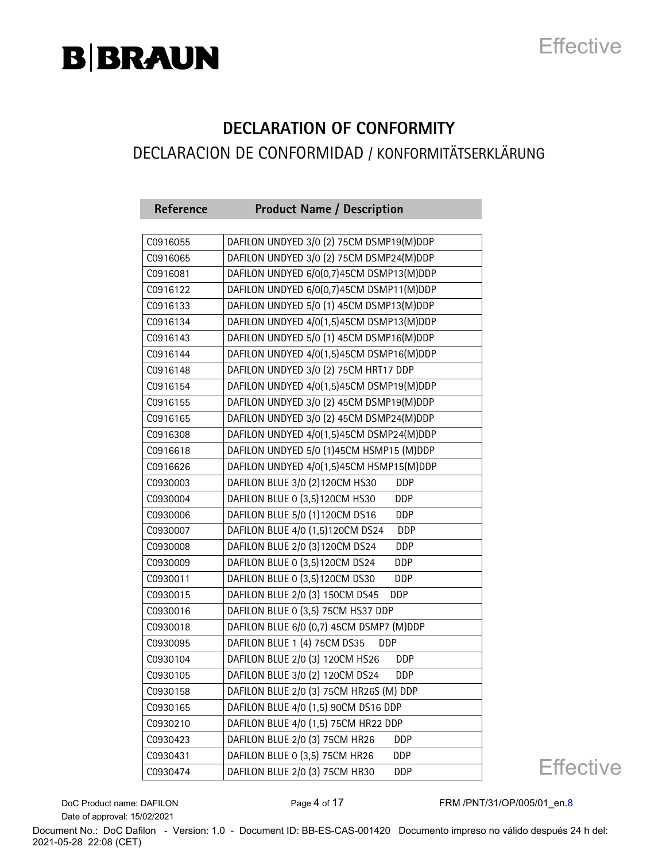## **Effective**

#### **DECLARATION OF CONFORMITY** DECLARACION DE CONFORMIDAD / KONFORMITÄTSERKLÄRUNG

| Reference | <b>Product Name / Description</b>             |
|-----------|-----------------------------------------------|
|           |                                               |
| C0916055  | DAFILON UNDYED 3/0 (2) 75CM DSMP19(M)DDP      |
| C0916065  | DAFILON UNDYED 3/0 (2) 75CM DSMP24(M)DDP      |
| C0916081  | DAFILON UNDYED 6/0(0,7)45CM DSMP13(M)DDP      |
| C0916122  | DAFILON UNDYED 6/0(0,7)45CM DSMP11(M)DDP      |
| C0916133  | DAFILON UNDYED 5/0 (1) 45CM DSMP13(M)DDP      |
| C0916134  | DAFILON UNDYED 4/0(1,5)45CM DSMP13(M)DDP      |
| C0916143  | DAFILON UNDYED 5/0 (1) 45CM DSMP16(M)DDP      |
| C0916144  | DAFILON UNDYED 4/0(1,5)45CM DSMP16(M)DDP      |
| C0916148  | DAFILON UNDYED 3/0 (2) 75CM HRT17 DDP         |
| C0916154  | DAFILON UNDYED 4/0(1,5)45CM DSMP19(M)DDP      |
| C0916155  | DAFILON UNDYED 3/0 (2) 45CM DSMP19(M)DDP      |
| C0916165  | DAFILON UNDYED 3/0 (2) 45CM DSMP24(M)DDP      |
| C0916308  | DAFILON UNDYED 4/0(1,5)45CM DSMP24(M)DDP      |
| C0916618  | DAFILON UNDYED 5/0 (1)45CM HSMP15 (M)DDP      |
| C0916626  | DAFILON UNDYED 4/0(1,5)45CM HSMP15(M)DDP      |
| C0930003  | DAFILON BLUE 3/0 (2)120CM HS30<br><b>DDP</b>  |
| C0930004  | DAFILON BLUE 0 (3,5)120CM HS30<br><b>DDP</b>  |
| C0930006  | DAFILON BLUE 5/0 (1)120CM DS16<br><b>DDP</b>  |
| C0930007  | DAFILON BLUE 4/0 (1,5)120CM DS24<br>DDP       |
| C0930008  | DAFILON BLUE 2/0 (3)120CM DS24<br>DDP         |
| C0930009  | DAFILON BLUE 0 (3,5)120CM DS24<br>DDP         |
| C0930011  | DAFILON BLUE 0 (3,5)120CM DS30<br>DDP         |
| C0930015  | DAFILON BLUE 2/0 (3) 150CM DS45<br>DDP        |
| C0930016  | DAFILON BLUE 0 (3,5) 75CM HS37 DDP            |
| C0930018  | DAFILON BLUE 6/0 (0,7) 45CM DSMP7 (M)DDP      |
| C0930095  | DAFILON BLUE 1 (4) 75CM DS35<br><b>DDP</b>    |
| C0930104  | DAFILON BLUE 2/0 (3) 120CM HS26<br>DDP        |
| C0930105  | DAFILON BLUE 3/0 (2) 120CM DS24<br><b>DDP</b> |
| C0930158  | DAFILON BLUE 2/0 (3) 75CM HR26S (M) DDP       |
| C0930165  | DAFILON BLUE 4/0 (1,5) 90CM DS16 DDP          |
| C0930210  | DAFILON BLUE 4/0 (1,5) 75CM HR22 DDP          |
| C0930423  | DAFILON BLUE 2/0 (3) 75CM HR26<br>DDP         |
| C0930431  | DAFILON BLUE 0 (3,5) 75CM HR26<br>DDP         |
| C0930474  | DAFILON BLUE 2/0 (3) 75CM HR30<br>DDP         |

**Effective** 

Date of approval: 15/02/2021

DoC Product name: DAFILON Page 4 of 17 FRM /PNT/31/OP/005/01\_en.8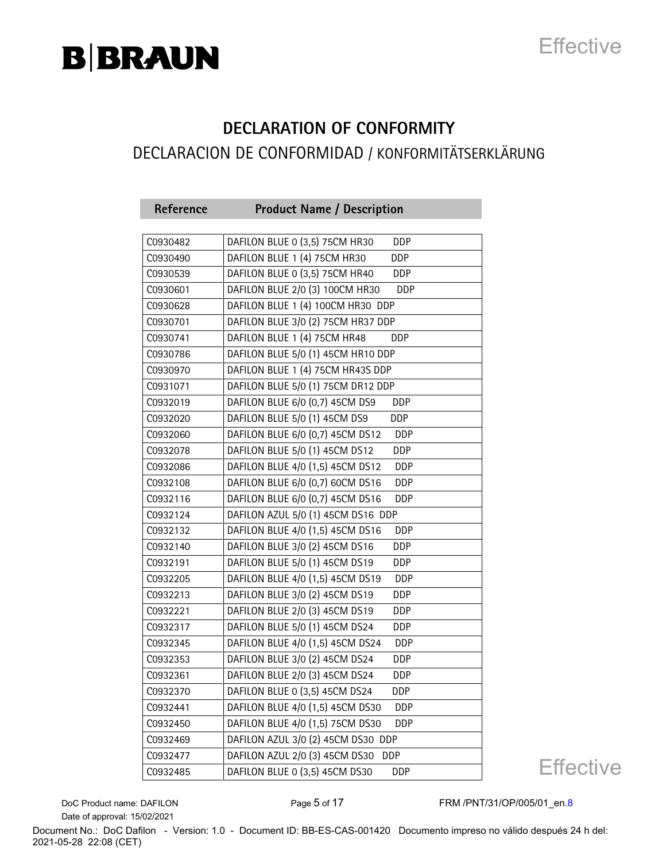## **Effective**

### **DECLARATION OF CONFORMITY** DECLARACION DE CONFORMIDAD / KONFORMITÄTSERKLÄRUNG

| Reference | <b>Product Name / Description</b>              |
|-----------|------------------------------------------------|
|           |                                                |
| C0930482  | DAFILON BLUE 0 (3,5) 75CM HR30<br><b>DDP</b>   |
| C0930490  | DAFILON BLUE 1 (4) 75CM HR30<br>DDP            |
| C0930539  | DAFILON BLUE 0 (3,5) 75CM HR40<br><b>DDP</b>   |
| C0930601  | DAFILON BLUE 2/0 (3) 100CM HR30<br>DDP         |
| C0930628  | DAFILON BLUE 1 (4) 100CM HR30 DDP              |
| C0930701  | DAFILON BLUE 3/0 (2) 75CM HR37 DDP             |
| C0930741  | DAFILON BLUE 1 (4) 75CM HR48<br><b>DDP</b>     |
| C0930786  | DAFILON BLUE 5/0 (1) 45CM HR10 DDP             |
| C0930970  | DAFILON BLUE 1 (4) 75CM HR43S DDP              |
| C0931071  | DAFILON BLUE 5/0 (1) 75CM DR12 DDP             |
| C0932019  | DAFILON BLUE 6/0 (0,7) 45CM DS9<br>DDP         |
| C0932020  | DAFILON BLUE 5/0 (1) 45CM DS9<br><b>DDP</b>    |
| C0932060  | DAFILON BLUE 6/0 (0,7) 45CM DS12<br><b>DDP</b> |
| C0932078  | DAFILON BLUE 5/0 (1) 45CM DS12<br>DDP          |
| C0932086  | DAFILON BLUE 4/0 (1,5) 45CM DS12<br>DDP        |
| C0932108  | DAFILON BLUE 6/0 (0,7) 60CM DS16<br><b>DDP</b> |
| C0932116  | DAFILON BLUE 6/0 (0,7) 45CM DS16<br><b>DDP</b> |
| C0932124  | DAFILON AZUL 5/0 (1) 45CM DS16 DDP             |
| C0932132  | DAFILON BLUE 4/0 (1,5) 45CM DS16<br><b>DDP</b> |
| C0932140  | DAFILON BLUE 3/0 (2) 45CM DS16<br>DDP          |
| C0932191  | DAFILON BLUE 5/0 (1) 45CM DS19<br><b>DDP</b>   |
| C0932205  | DAFILON BLUE 4/0 (1,5) 45CM DS19<br>DDP        |
| C0932213  | DAFILON BLUE 3/0 (2) 45CM DS19<br>DDP          |
| C0932221  | DAFILON BLUE 2/0 (3) 45CM DS19<br>DDP          |
| C0932317  | DAFILON BLUE 5/0 (1) 45CM DS24<br><b>DDP</b>   |
| C0932345  | DAFILON BLUE 4/0 (1,5) 45CM DS24<br><b>DDP</b> |
| C0932353  | DAFILON BLUE 3/0 (2) 45CM DS24<br>DDP          |
| C0932361  | DAFILON BLUE 2/0 (3) 45CM DS24<br>DDP          |
| C0932370  | DAFILON BLUE 0 (3,5) 45CM DS24<br>DDP          |
| C0932441  | DAFILON BLUE 4/0 (1,5) 45CM DS30<br>DDP        |
| C0932450  | DAFILON BLUE 4/0 (1,5) 75CM DS30<br>DDP        |
| C0932469  | DAFILON AZUL 3/0 (2) 45CM DS30 DDP             |
| C0932477  | DAFILON AZUL 2/0 (3) 45CM DS30<br><b>DDP</b>   |
| C0932485  | DAFILON BLUE 0 (3,5) 45CM DS30<br>DDP          |

**Effective** 

Date of approval: 15/02/2021

DoC Product name: DAFILON Page 5 of 17 FRM /PNT/31/OP/005/01\_en.8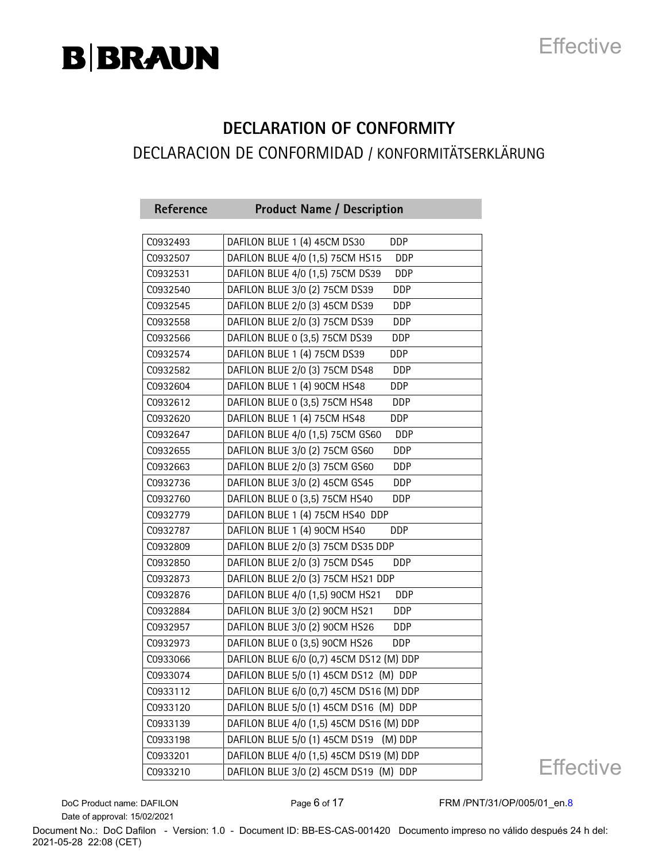## **Effective**

#### **DECLARATION OF CONFORMITY** DECLARACION DE CONFORMIDAD / KONFORMITÄTSERKLÄRUNG

| Reference | <b>Product Name / Description</b>                                       |
|-----------|-------------------------------------------------------------------------|
| C0932493  | DAFILON BLUE 1 (4) 45CM DS30<br><b>DDP</b>                              |
| C0932507  | DAFILON BLUE 4/0 (1,5) 75CM HS15<br>DDP                                 |
|           | DAFILON BLUE 4/0 (1,5) 75CM DS39<br>DDP                                 |
| C0932531  |                                                                         |
| C0932540  | DAFILON BLUE 3/0 (2) 75CM DS39<br>DDP                                   |
| C0932545  | DAFILON BLUE 2/0 (3) 45CM DS39<br>DDP<br>DAFILON BLUE 2/0 (3) 75CM DS39 |
| C0932558  | DDP<br><b>DDP</b>                                                       |
| C0932566  | DAFILON BLUE 0 (3,5) 75CM DS39<br>DAFILON BLUE 1 (4) 75CM DS39          |
| C0932574  | DDP                                                                     |
| C0932582  | DAFILON BLUE 2/0 (3) 75CM DS48<br>DDP                                   |
| C0932604  | DAFILON BLUE 1 (4) 90CM HS48<br><b>DDP</b>                              |
| C0932612  | DAFILON BLUE 0 (3,5) 75CM HS48<br>DDP                                   |
| C0932620  | DAFILON BLUE 1 (4) 75CM HS48<br><b>DDP</b>                              |
| C0932647  | DAFILON BLUE 4/0 (1,5) 75CM GS60<br><b>DDP</b>                          |
| C0932655  | DAFILON BLUE 3/0 (2) 75CM GS60<br><b>DDP</b>                            |
| C0932663  | DAFILON BLUE 2/0 (3) 75CM GS60<br>DDP                                   |
| C0932736  | DAFILON BLUE 3/0 (2) 45CM GS45<br>DDP                                   |
| C0932760  | DAFILON BLUE 0 (3,5) 75CM HS40<br><b>DDP</b>                            |
| C0932779  | DAFILON BLUE 1 (4) 75CM HS40 DDP                                        |
| C0932787  | DAFILON BLUE 1 (4) 90CM HS40<br><b>DDP</b>                              |
| C0932809  | DAFILON BLUE 2/0 (3) 75CM DS35 DDP                                      |
| C0932850  | DAFILON BLUE 2/0 (3) 75CM DS45<br>DDP                                   |
| C0932873  | DAFILON BLUE 2/0 (3) 75CM HS21 DDP                                      |
| C0932876  | DAFILON BLUE 4/0 (1,5) 90CM HS21<br><b>DDP</b>                          |
| C0932884  | DAFILON BLUE 3/0 (2) 90CM HS21<br>DDP                                   |
| C0932957  | DAFILON BLUE 3/0 (2) 90CM HS26<br><b>DDP</b>                            |
| C0932973  | DAFILON BLUE 0 (3,5) 90CM HS26<br><b>DDP</b>                            |
| C0933066  | DAFILON BLUE 6/0 (0,7) 45CM DS12 (M) DDP                                |
| C0933074  | DAFILON BLUE 5/0 (1) 45CM DS12 (M) DDP                                  |
| C0933112  | DAFILON BLUE 6/0 (0,7) 45CM DS16 (M) DDP                                |
| C0933120  | DAFILON BLUE 5/0 (1) 45CM DS16 (M) DDP                                  |
| C0933139  | DAFILON BLUE 4/0 (1,5) 45CM DS16 (M) DDP                                |
| C0933198  | DAFILON BLUE 5/0 (1) 45CM DS19<br>(M) DDP                               |
| C0933201  | DAFILON BLUE 4/0 (1,5) 45CM DS19 (M) DDP                                |
| C0933210  | DAFILON BLUE 3/0 (2) 45CM DS19 (M) DDP                                  |

**Effective** 

Date of approval: 15/02/2021

DoC Product name: DAFILON Page 6 of 17 FRM /PNT/31/OP/005/01\_en.8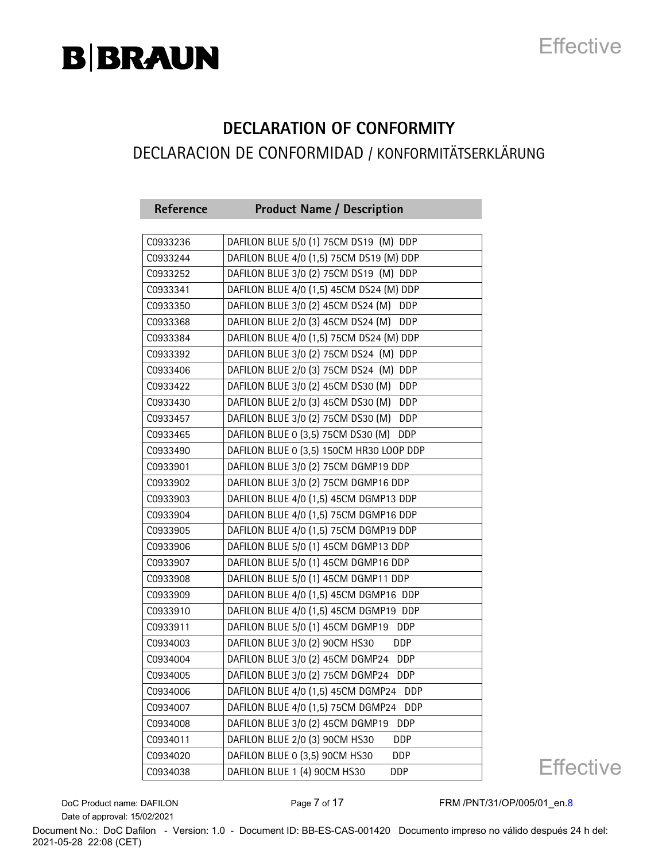## **Effective**

## **DECLARATION OF CONFORMITY**

#### DECLARACION DE CONFORMIDAD / KONFORMITÄTSERKLÄRUNG

| Reference | <b>Product Name / Description</b>                |
|-----------|--------------------------------------------------|
|           |                                                  |
| C0933236  | DAFILON BLUE 5/0 (1) 75CM DS19 (M) DDP           |
| C0933244  | DAFILON BLUE 4/0 (1,5) 75CM DS19 (M) DDP         |
| C0933252  | DAFILON BLUE 3/0 (2) 75CM DS19 (M) DDP           |
| C0933341  | DAFILON BLUE 4/0 (1,5) 45CM DS24 (M) DDP         |
| C0933350  | DAFILON BLUE 3/0 (2) 45CM DS24 (M)<br><b>DDP</b> |
| C0933368  | DAFILON BLUE 2/0 (3) 45CM DS24 (M)<br>DDP        |
| C0933384  | DAFILON BLUE 4/0 (1,5) 75CM DS24 (M) DDP         |
| C0933392  | DAFILON BLUE 3/0 (2) 75CM DS24 (M) DDP           |
| C0933406  | DAFILON BLUE 2/0 (3) 75CM DS24 (M) DDP           |
| C0933422  | DAFILON BLUE 3/0 (2) 45CM DS30 (M)<br><b>DDP</b> |
| C0933430  | DAFILON BLUE 2/0 (3) 45CM DS30 (M)<br>DDP        |
| C0933457  | DAFILON BLUE 3/0 (2) 75CM DS30 (M)<br><b>DDP</b> |
| C0933465  | DAFILON BLUE 0 (3,5) 75CM DS30 (M)<br>DDP        |
| C0933490  | DAFILON BLUE 0 (3,5) 150CM HR30 LOOP DDP         |
| C0933901  | DAFILON BLUE 3/0 (2) 75CM DGMP19 DDP             |
| C0933902  | DAFILON BLUE 3/0 (2) 75CM DGMP16 DDP             |
| C0933903  | DAFILON BLUE 4/0 (1,5) 45CM DGMP13 DDP           |
| C0933904  | DAFILON BLUE 4/0 (1,5) 75CM DGMP16 DDP           |
| C0933905  | DAFILON BLUE 4/0 (1,5) 75CM DGMP19 DDP           |
| C0933906  | DAFILON BLUE 5/0 (1) 45CM DGMP13 DDP             |
| C0933907  | DAFILON BLUE 5/0 (1) 45CM DGMP16 DDP             |
| C0933908  | DAFILON BLUE 5/0 (1) 45CM DGMP11 DDP             |
| C0933909  | DAFILON BLUE 4/0 (1,5) 45CM DGMP16 DDP           |
| C0933910  | DAFILON BLUE 4/0 (1,5) 45CM DGMP19 DDP           |
| C0933911  | DAFILON BLUE 5/0 (1) 45CM DGMP19 DDP             |
| C0934003  | DAFILON BLUE 3/0 (2) 90CM HS30<br><b>DDP</b>     |
| C0934004  | DAFILON BLUE 3/0 (2) 45CM DGMP24 DDP             |
| C0934005  | DAFILON BLUE 3/0 (2) 75CM DGMP24 DDP             |
| C0934006  | DAFILON BLUE 4/0 (1,5) 45CM DGMP24 DDP           |
| C0934007  | DAFILON BLUE 4/0 (1,5) 75CM DGMP24<br>DDP        |
| C0934008  | DAFILON BLUE 3/0 (2) 45CM DGMP19<br>DDP          |
| C0934011  | DAFILON BLUE 2/0 (3) 90CM HS30<br>DDP            |
| C0934020  | DAFILON BLUE 0 (3,5) 90CM HS30<br>DDP            |
| C0934038  | DAFILON BLUE 1 (4) 90CM HS30<br>DDP              |

**Effective** 

Date of approval: 15/02/2021

DoC Product name: DAFILON Page 7 of 17 FRM /PNT/31/OP/005/01\_en.8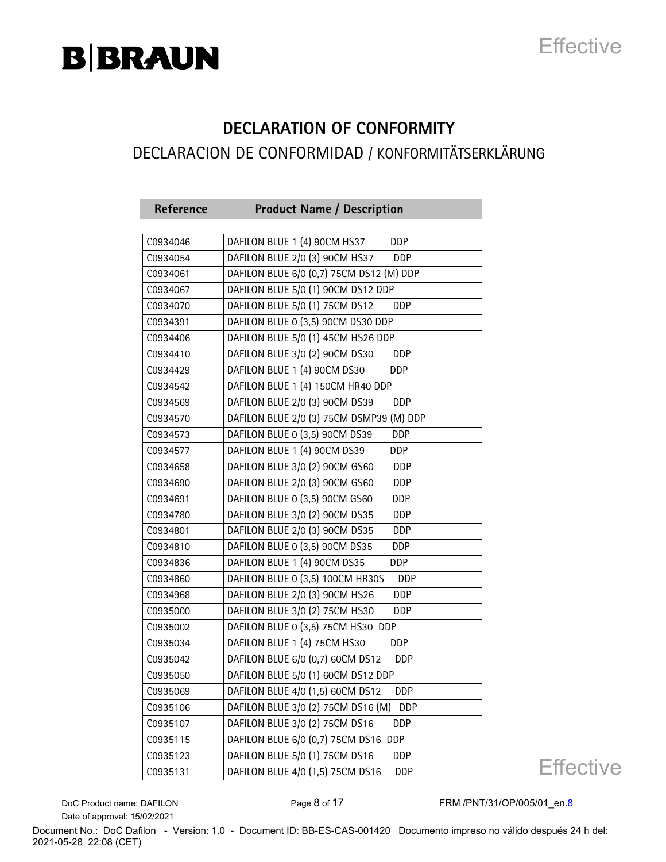## **Effective**

#### **DECLARATION OF CONFORMITY** DECLARACION DE CONFORMIDAD / KONFORMITÄTSERKLÄRUNG

| Reference | <b>Product Name / Description</b>                |
|-----------|--------------------------------------------------|
|           |                                                  |
| C0934046  | DAFILON BLUE 1 (4) 90CM HS37<br><b>DDP</b>       |
| C0934054  | DAFILON BLUE 2/0 (3) 90CM HS37<br>DDP            |
| C0934061  | DAFILON BLUE 6/0 (0,7) 75CM DS12 (M) DDP         |
| C0934067  | DAFILON BLUE 5/0 (1) 90CM DS12 DDP               |
| C0934070  | DAFILON BLUE 5/0 (1) 75CM DS12<br>DDP            |
| C0934391  | DAFILON BLUE 0 (3,5) 90CM DS30 DDP               |
| C0934406  | DAFILON BLUE 5/0 (1) 45CM HS26 DDP               |
| C0934410  | DAFILON BLUE 3/0 (2) 90CM DS30<br>DDP            |
| C0934429  | DAFILON BLUE 1 (4) 90CM DS30<br>DDP              |
| C0934542  | DAFILON BLUE 1 (4) 150CM HR40 DDP                |
| C0934569  | DAFILON BLUE 2/0 (3) 90CM DS39<br>DDP            |
| C0934570  | DAFILON BLUE 2/0 (3) 75CM DSMP39 (M) DDP         |
| C0934573  | DAFILON BLUE 0 (3,5) 90CM DS39<br>DDP            |
| C0934577  | DAFILON BLUE 1 (4) 90CM DS39<br><b>DDP</b>       |
| C0934658  | DAFILON BLUE 3/0 (2) 90CM GS60<br>DDP            |
| C0934690  | DAFILON BLUE 2/0 (3) 90CM GS60<br>DDP            |
| C0934691  | DAFILON BLUE 0 (3,5) 90CM GS60<br>DDP            |
| C0934780  | DAFILON BLUE 3/0 (2) 90CM DS35<br>DDP            |
| C0934801  | DAFILON BLUE 2/0 (3) 90CM DS35<br>DDP            |
| C0934810  | DAFILON BLUE 0 (3,5) 90CM DS35<br>DDP            |
| C0934836  | DAFILON BLUE 1 (4) 90CM DS35<br><b>DDP</b>       |
| C0934860  | DAFILON BLUE 0 (3,5) 100CM HR30S<br>DDP          |
| C0934968  | DAFILON BLUE 2/0 (3) 90CM HS26<br><b>DDP</b>     |
| C0935000  | DAFILON BLUE 3/0 (2) 75CM HS30<br>DDP            |
| C0935002  | DAFILON BLUE 0 (3,5) 75CM HS30 DDP               |
| C0935034  | DAFILON BLUE 1 (4) 75CM HS30<br><b>DDP</b>       |
| C0935042  | DAFILON BLUE 6/0 (0,7) 60CM DS12<br><b>DDP</b>   |
| C0935050  | DAFILON BLUE 5/0 (1) 60CM DS12 DDP               |
| C0935069  | DAFILON BLUE 4/0 (1,5) 60CM DS12<br><b>DDP</b>   |
| C0935106  | DAFILON BLUE 3/0 (2) 75CM DS16 (M)<br><b>DDP</b> |
| C0935107  | DAFILON BLUE 3/0 (2) 75CM DS16<br>DDP            |
| C0935115  | DAFILON BLUE 6/0 (0,7) 75CM DS16 DDP             |
| C0935123  | DAFILON BLUE 5/0 (1) 75CM DS16<br>DDP            |
| C0935131  | DAFILON BLUE 4/0 (1,5) 75CM DS16<br>DDP          |

**Effective** 

Date of approval: 15/02/2021

DoC Product name: DAFILON Page 8 of 17 FRM /PNT/31/OP/005/01\_en.8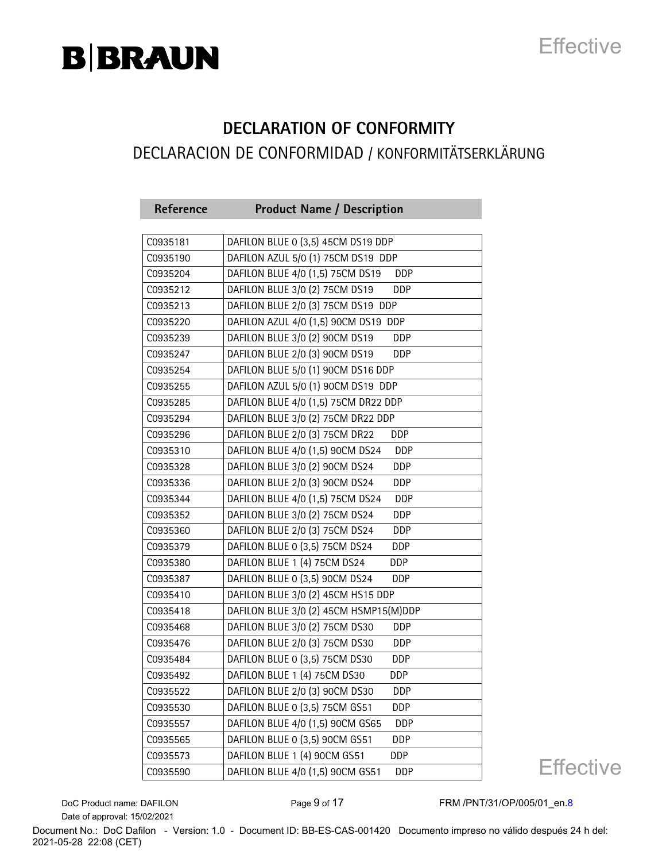## **Effective**

### **DECLARATION OF CONFORMITY**

#### DECLARACION DE CONFORMIDAD / KONFORMITÄTSERKLÄRUNG

| Reference | <b>Product Name / Description</b>              |
|-----------|------------------------------------------------|
|           | DAFILON BLUE 0 (3,5) 45CM DS19 DDP             |
| C0935181  |                                                |
| C0935190  | DAFILON AZUL 5/0 (1) 75CM DS19 DDP             |
| C0935204  | DAFILON BLUE 4/0 (1,5) 75CM DS19<br><b>DDP</b> |
| C0935212  | DAFILON BLUE 3/0 (2) 75CM DS19<br>DDP          |
| C0935213  | DAFILON BLUE 2/0 (3) 75CM DS19 DDP             |
| C0935220  | DAFILON AZUL 4/0 (1,5) 90CM DS19 DDP           |
| C0935239  | DAFILON BLUE 3/0 (2) 90CM DS19<br>DDP          |
| C0935247  | DAFILON BLUE 2/0 (3) 90CM DS19<br>DDP          |
| C0935254  | DAFILON BLUE 5/0 (1) 90CM DS16 DDP             |
| C0935255  | DAFILON AZUL 5/0 (1) 90CM DS19 DDP             |
| C0935285  | DAFILON BLUE 4/0 (1,5) 75CM DR22 DDP           |
| C0935294  | DAFILON BLUE 3/0 (2) 75CM DR22 DDP             |
| C0935296  | DAFILON BLUE 2/0 (3) 75CM DR22<br><b>DDP</b>   |
| C0935310  | DAFILON BLUE 4/0 (1,5) 90CM DS24<br><b>DDP</b> |
| C0935328  | DAFILON BLUE 3/0 (2) 90CM DS24<br>DDP          |
| C0935336  | DAFILON BLUE 2/0 (3) 90CM DS24<br>DDP          |
| C0935344  | DAFILON BLUE 4/0 (1,5) 75CM DS24<br><b>DDP</b> |
| C0935352  | DAFILON BLUE 3/0 (2) 75CM DS24<br>DDP          |
| C0935360  | DAFILON BLUE 2/0 (3) 75CM DS24<br>DDP          |
| C0935379  | DAFILON BLUE 0 (3,5) 75CM DS24<br>DDP          |
| C0935380  | DAFILON BLUE 1 (4) 75CM DS24<br><b>DDP</b>     |
| C0935387  | DAFILON BLUE 0 (3,5) 90CM DS24<br>DDP          |
| C0935410  | DAFILON BLUE 3/0 (2) 45CM HS15 DDP             |
| C0935418  | DAFILON BLUE 3/0 (2) 45CM HSMP15(M)DDP         |
| C0935468  | DAFILON BLUE 3/0 (2) 75CM DS30<br><b>DDP</b>   |
| C0935476  | DAFILON BLUE 2/0 (3) 75CM DS30<br>DDP          |
| C0935484  | DAFILON BLUE 0 (3,5) 75CM DS30<br><b>DDP</b>   |
| C0935492  | DAFILON BLUE 1 (4) 75CM DS30<br>DDP            |
| C0935522  | DAFILON BLUE 2/0 (3) 90CM DS30<br>DDP          |
| C0935530  | DAFILON BLUE 0 (3,5) 75CM GS51<br>DDP          |
| C0935557  | DAFILON BLUE 4/0 (1,5) 90CM GS65<br>DDP        |
| C0935565  | DAFILON BLUE 0 (3,5) 90CM GS51<br>DDP          |
| C0935573  | DAFILON BLUE 1 (4) 90CM GS51<br><b>DDP</b>     |
| C0935590  | DAFILON BLUE 4/0 (1,5) 90CM GS51<br>DDP        |

**Effective** 

Date of approval: 15/02/2021

DoC Product name: DAFILON Page 9 of 17 FRM /PNT/31/OP/005/01\_en.8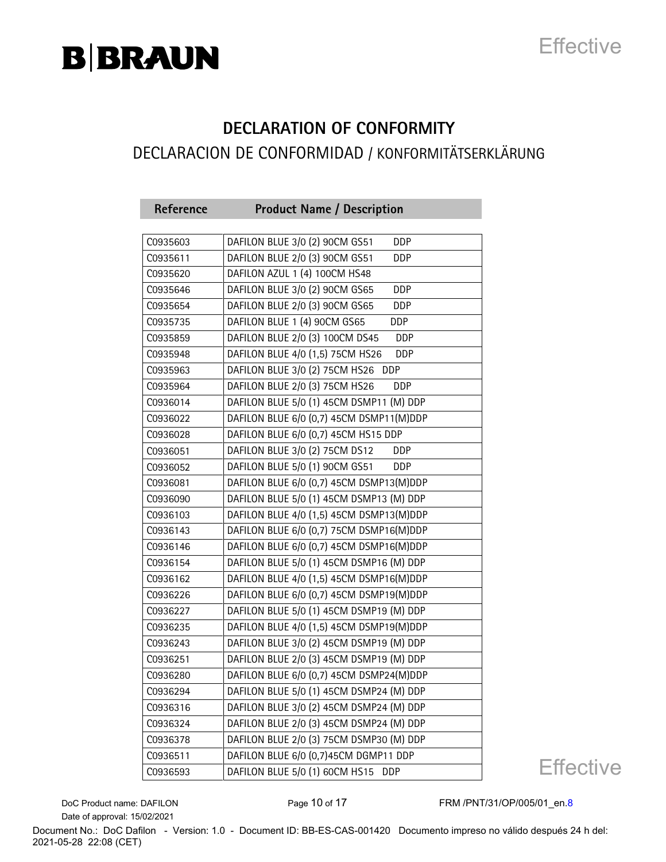## **Effective**

#### **DECLARATION OF CONFORMITY** DECLARACION DE CONFORMIDAD / KONFORMITÄTSERKLÄRUNG

| Reference | <b>Product Name / Description</b>            |
|-----------|----------------------------------------------|
|           |                                              |
| C0935603  | DAFILON BLUE 3/0 (2) 90CM GS51<br><b>DDP</b> |
| C0935611  | DAFILON BLUE 2/0 (3) 90CM GS51<br>DDP        |
| C0935620  | DAFILON AZUL 1 (4) 100CM HS48                |
| C0935646  | DAFILON BLUE 3/0 (2) 90CM GS65<br><b>DDP</b> |
| C0935654  | DAFILON BLUE 2/0 (3) 90CM GS65<br>DDP        |
| C0935735  | DAFILON BLUE 1 (4) 90CM GS65<br><b>DDP</b>   |
| C0935859  | DAFILON BLUE 2/0 (3) 100CM DS45<br>DDP       |
| C0935948  | DAFILON BLUE 4/0 (1,5) 75CM HS26<br>DDP      |
| C0935963  | DAFILON BLUE 3/0 (2) 75CM HS26<br>DDP        |
| C0935964  | DAFILON BLUE 2/0 (3) 75CM HS26<br><b>DDP</b> |
| C0936014  | DAFILON BLUE 5/0 (1) 45CM DSMP11 (M) DDP     |
| C0936022  | DAFILON BLUE 6/0 (0,7) 45CM DSMP11(M)DDP     |
| C0936028  | DAFILON BLUE 6/0 (0,7) 45CM HS15 DDP         |
| C0936051  | DAFILON BLUE 3/0 (2) 75CM DS12<br><b>DDP</b> |
| C0936052  | DAFILON BLUE 5/0 (1) 90CM GS51<br>DDP        |
| C0936081  | DAFILON BLUE 6/0 (0,7) 45CM DSMP13(M)DDP     |
| C0936090  | DAFILON BLUE 5/0 (1) 45CM DSMP13 (M) DDP     |
| C0936103  | DAFILON BLUE 4/0 (1,5) 45CM DSMP13(M)DDP     |
| C0936143  | DAFILON BLUE 6/0 (0,7) 75CM DSMP16(M)DDP     |
| C0936146  | DAFILON BLUE 6/0 (0,7) 45CM DSMP16(M)DDP     |
| C0936154  | DAFILON BLUE 5/0 (1) 45CM DSMP16 (M) DDP     |
| C0936162  | DAFILON BLUE 4/0 (1,5) 45CM DSMP16(M)DDP     |
| C0936226  | DAFILON BLUE 6/0 (0,7) 45CM DSMP19(M)DDP     |
| C0936227  | DAFILON BLUE 5/0 (1) 45CM DSMP19 (M) DDP     |
| C0936235  | DAFILON BLUE 4/0 (1,5) 45CM DSMP19(M)DDP     |
| C0936243  | DAFILON BLUE 3/0 (2) 45CM DSMP19 (M) DDP     |
| C0936251  | DAFILON BLUE 2/0 (3) 45CM DSMP19 (M) DDP     |
| C0936280  | DAFILON BLUE 6/0 (0,7) 45CM DSMP24(M)DDP     |
| C0936294  | DAFILON BLUE 5/0 (1) 45CM DSMP24 (M) DDP     |
| C0936316  | DAFILON BLUE 3/0 (2) 45CM DSMP24 (M) DDP     |
| C0936324  | DAFILON BLUE 2/0 (3) 45CM DSMP24 (M) DDP     |
| C0936378  | DAFILON BLUE 2/0 (3) 75CM DSMP30 (M) DDP     |
| C0936511  | DAFILON BLUE 6/0 (0,7)45CM DGMP11 DDP        |
| C0936593  | DAFILON BLUE 5/0 (1) 60CM HS15<br><b>DDP</b> |

**Effective** 

Date of approval: 15/02/2021

DoC Product name: DAFILON Page 10 of 17 FRM /PNT/31/OP/005/01\_en.8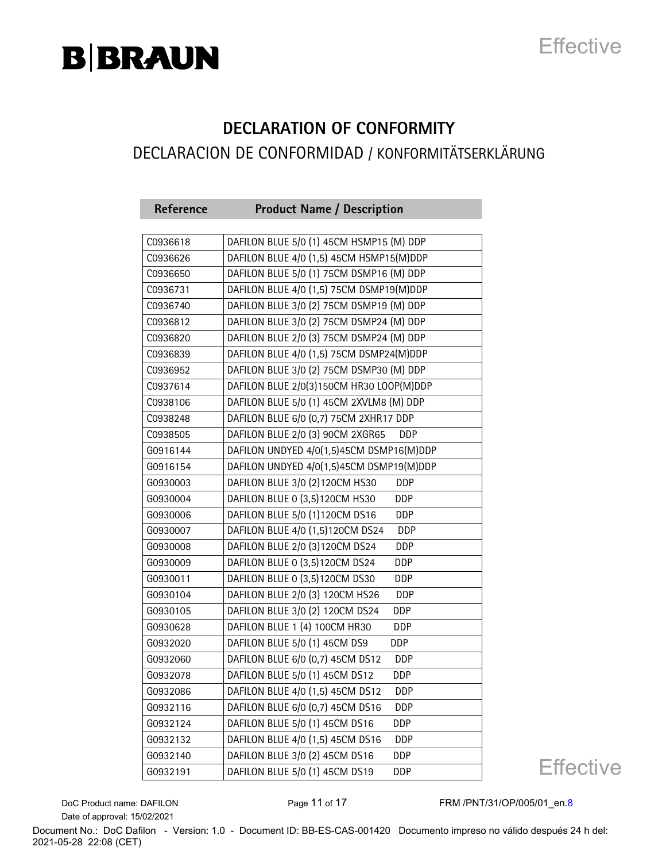## **Effective**

#### **DECLARATION OF CONFORMITY** DECLARACION DE CONFORMIDAD / KONFORMITÄTSERKLÄRUNG

| Reference | <b>Product Name / Description</b>              |
|-----------|------------------------------------------------|
|           |                                                |
| C0936618  | DAFILON BLUE 5/0 (1) 45CM HSMP15 (M) DDP       |
| C0936626  | DAFILON BLUE 4/0 (1,5) 45CM HSMP15(M)DDP       |
| C0936650  | DAFILON BLUE 5/0 (1) 75CM DSMP16 (M) DDP       |
| C0936731  | DAFILON BLUE 4/0 (1,5) 75CM DSMP19(M)DDP       |
| C0936740  | DAFILON BLUE 3/0 (2) 75CM DSMP19 (M) DDP       |
| C0936812  | DAFILON BLUE 3/0 (2) 75CM DSMP24 (M) DDP       |
| C0936820  | DAFILON BLUE 2/0 (3) 75CM DSMP24 (M) DDP       |
| C0936839  | DAFILON BLUE 4/0 (1,5) 75CM DSMP24(M)DDP       |
| C0936952  | DAFILON BLUE 3/0 (2) 75CM DSMP30 (M) DDP       |
| C0937614  | DAFILON BLUE 2/0(3)150CM HR30 LOOP(M)DDP       |
| C0938106  | DAFILON BLUE 5/0 (1) 45CM 2XVLM8 (M) DDP       |
| C0938248  | DAFILON BLUE 6/0 (0,7) 75CM 2XHR17 DDP         |
| C0938505  | DAFILON BLUE 2/0 (3) 90CM 2XGR65<br>DDP.       |
| G0916144  | DAFILON UNDYED 4/0(1,5)45CM DSMP16(M)DDP       |
| G0916154  | DAFILON UNDYED 4/0(1,5)45CM DSMP19(M)DDP       |
| G0930003  | DAFILON BLUE 3/0 (2)120CM HS30<br>DDP          |
| G0930004  | DAFILON BLUE 0 (3,5)120CM HS30<br><b>DDP</b>   |
| G0930006  | DAFILON BLUE 5/0 (1)120CM DS16<br>DDP          |
| G0930007  | DAFILON BLUE 4/0 (1,5)120CM DS24<br><b>DDP</b> |
| G0930008  | DAFILON BLUE 2/0 (3)120CM DS24<br>DDP          |
| G0930009  | DAFILON BLUE 0 (3,5)120CM DS24<br>DDP          |
| G0930011  | DAFILON BLUE 0 (3,5)120CM DS30<br>DDP          |
| G0930104  | DAFILON BLUE 2/0 (3) 120CM HS26<br><b>DDP</b>  |
| G0930105  | DAFILON BLUE 3/0 (2) 120CM DS24<br>DDP         |
| G0930628  | DAFILON BLUE 1 (4) 100CM HR30<br>DDP           |
| G0932020  | DAFILON BLUE 5/0 (1) 45CM DS9<br><b>DDP</b>    |
| G0932060  | DAFILON BLUE 6/0 (0,7) 45CM DS12<br><b>DDP</b> |
| G0932078  | DAFILON BLUE 5/0 (1) 45CM DS12<br>DDP          |
| G0932086  | DAFILON BLUE 4/0 (1,5) 45CM DS12<br>DDP        |
| G0932116  | DAFILON BLUE 6/0 (0,7) 45CM DS16<br>DDP        |
| G0932124  | DAFILON BLUE 5/0 (1) 45CM DS16<br>DDP          |
| G0932132  | DAFILON BLUE 4/0 (1,5) 45CM DS16<br>DDP        |
| G0932140  | DAFILON BLUE 3/0 (2) 45CM DS16<br>DDP          |
| G0932191  | DAFILON BLUE 5/0 (1) 45CM DS19<br>DDP          |

**Effective** 

Date of approval: 15/02/2021

DoC Product name: DAFILON Page 11 of 17 FRM /PNT/31/OP/005/01\_en.8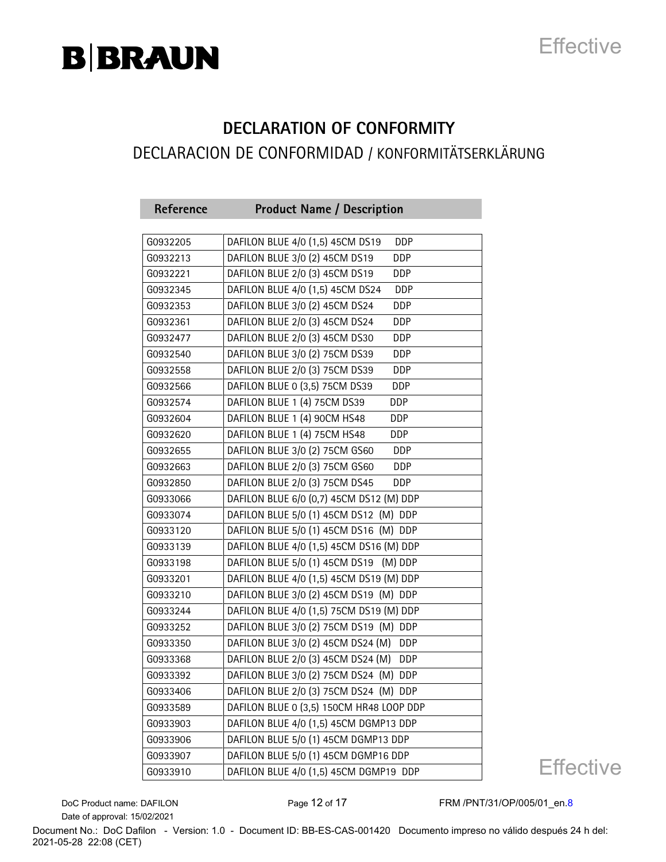## **Effective**

#### **DECLARATION OF CONFORMITY** DECLARACION DE CONFORMIDAD / KONFORMITÄTSERKLÄRUNG

| Reference | <b>Product Name / Description</b>                |
|-----------|--------------------------------------------------|
| G0932205  | DAFILON BLUE 4/0 (1,5) 45CM DS19<br><b>DDP</b>   |
|           |                                                  |
| G0932213  | DAFILON BLUE 3/0 (2) 45CM DS19<br>DDP            |
| G0932221  | DAFILON BLUE 2/0 (3) 45CM DS19<br>DDP            |
| G0932345  | DAFILON BLUE 4/0 (1,5) 45CM DS24<br>DDP          |
| G0932353  | DAFILON BLUE 3/0 (2) 45CM DS24<br>DDP            |
| G0932361  | DAFILON BLUE 2/0 (3) 45CM DS24<br>DDP            |
| G0932477  | DAFILON BLUE 2/0 (3) 45CM DS30<br>DDP            |
| G0932540  | DAFILON BLUE 3/0 (2) 75CM DS39<br>DDP            |
| G0932558  | DAFILON BLUE 2/0 (3) 75CM DS39<br>DDP            |
| G0932566  | DAFILON BLUE 0 (3,5) 75CM DS39<br>DDP            |
| G0932574  | DAFILON BLUE 1 (4) 75CM DS39<br>DDP              |
| G0932604  | DAFILON BLUE 1 (4) 90CM HS48<br><b>DDP</b>       |
| G0932620  | DAFILON BLUE 1 (4) 75CM HS48<br>DDP              |
| G0932655  | DAFILON BLUE 3/0 (2) 75CM GS60<br><b>DDP</b>     |
| G0932663  | DAFILON BLUE 2/0 (3) 75CM GS60<br>DDP            |
| G0932850  | DAFILON BLUE 2/0 (3) 75CM DS45<br><b>DDP</b>     |
| G0933066  | DAFILON BLUE 6/0 (0,7) 45CM DS12 (M) DDP         |
| G0933074  | DAFILON BLUE 5/0 (1) 45CM DS12 (M) DDP           |
| G0933120  | DAFILON BLUE 5/0 (1) 45CM DS16 (M) DDP           |
| G0933139  | DAFILON BLUE 4/0 (1,5) 45CM DS16 (M) DDP         |
| G0933198  | DAFILON BLUE 5/0 (1) 45CM DS19 (M) DDP           |
| G0933201  | DAFILON BLUE 4/0 (1,5) 45CM DS19 (M) DDP         |
| G0933210  | DAFILON BLUE 3/0 (2) 45CM DS19 (M) DDP           |
| G0933244  | DAFILON BLUE 4/0 (1,5) 75CM DS19 (M) DDP         |
| G0933252  | DAFILON BLUE 3/0 (2) 75CM DS19 (M) DDP           |
| G0933350  | DAFILON BLUE 3/0 (2) 45CM DS24 (M)<br><b>DDP</b> |
| G0933368  | DAFILON BLUE 2/0 (3) 45CM DS24 (M)<br><b>DDP</b> |
| G0933392  | DAFILON BLUE 3/0 (2) 75CM DS24 (M) DDP           |
| G0933406  | DAFILON BLUE 2/0 (3) 75CM DS24 (M) DDP           |
| G0933589  | DAFILON BLUE 0 (3,5) 150CM HR48 LOOP DDP         |
| G0933903  | DAFILON BLUE 4/0 (1,5) 45CM DGMP13 DDP           |
| G0933906  | DAFILON BLUE 5/0 (1) 45CM DGMP13 DDP             |
| G0933907  | DAFILON BLUE 5/0 (1) 45CM DGMP16 DDP             |
| G0933910  | DAFILON BLUE 4/0 (1,5) 45CM DGMP19 DDP           |

**Effective** 

Date of approval: 15/02/2021

DoC Product name: DAFILON Page 12 of 17 FRM /PNT/31/OP/005/01\_en.8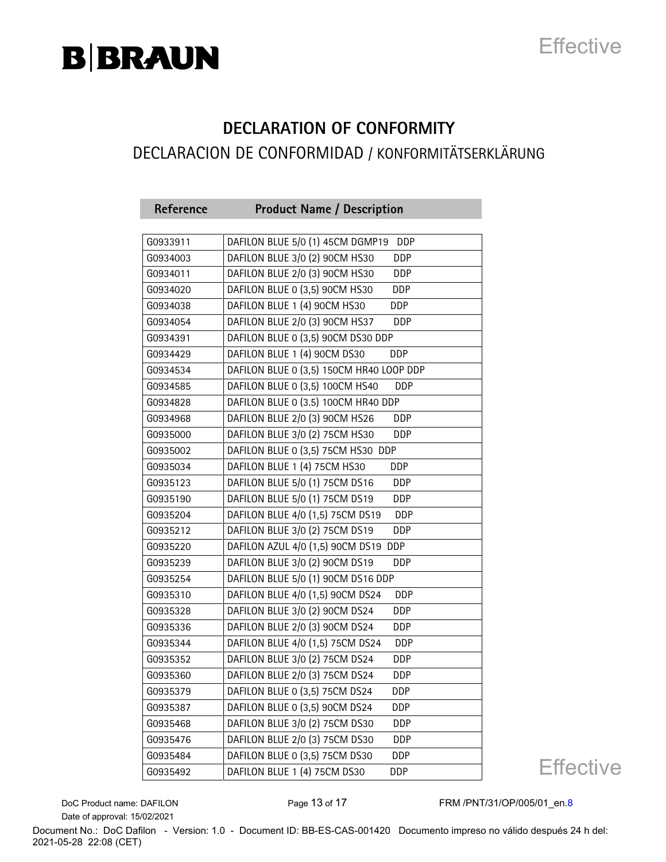## **Effective**

#### **DECLARATION OF CONFORMITY** DECLARACION DE CONFORMIDAD / KONFORMITÄTSERKLÄRUNG

| Reference | <b>Product Name / Description</b>              |
|-----------|------------------------------------------------|
| G0933911  | DAFILON BLUE 5/0 (1) 45CM DGMP19<br><b>DDP</b> |
| G0934003  | DAFILON BLUE 3/0 (2) 90CM HS30<br>DDP          |
|           | DAFILON BLUE 2/0 (3) 90CM HS30<br>DDP          |
| G0934011  |                                                |
| G0934020  | DAFILON BLUE 0 (3,5) 90CM HS30<br>DDP          |
| G0934038  | DAFILON BLUE 1 (4) 90CM HS30<br>DDP            |
| G0934054  | DAFILON BLUE 2/0 (3) 90CM HS37<br><b>DDP</b>   |
| G0934391  | DAFILON BLUE 0 (3,5) 90CM DS30 DDP             |
| G0934429  | DAFILON BLUE 1 (4) 90CM DS30<br><b>DDP</b>     |
| G0934534  | DAFILON BLUE 0 (3,5) 150CM HR40 LOOP DDP       |
| G0934585  | DAFILON BLUE 0 (3,5) 100CM HS40<br>DDP         |
| G0934828  | DAFILON BLUE 0 (3.5) 100CM HR40 DDP            |
| G0934968  | DAFILON BLUE 2/0 (3) 90CM HS26<br><b>DDP</b>   |
| G0935000  | DAFILON BLUE 3/0 (2) 75CM HS30<br>DDP          |
| G0935002  | DAFILON BLUE 0 (3,5) 75CM HS30 DDP             |
| G0935034  | <b>DDP</b><br>DAFILON BLUE 1 (4) 75CM HS30     |
| G0935123  | DAFILON BLUE 5/0 (1) 75CM DS16<br>DDP          |
| G0935190  | DAFILON BLUE 5/0 (1) 75CM DS19<br>DDP          |
| G0935204  | DAFILON BLUE 4/0 (1,5) 75CM DS19<br><b>DDP</b> |
| G0935212  | DAFILON BLUE 3/0 (2) 75CM DS19<br>DDP          |
| G0935220  | DAFILON AZUL 4/0 (1,5) 90CM DS19 DDP           |
| G0935239  | DAFILON BLUE 3/0 (2) 90CM DS19<br>DDP          |
| G0935254  | DAFILON BLUE 5/0 (1) 90CM DS16 DDP             |
| G0935310  | DAFILON BLUE 4/0 (1,5) 90CM DS24<br><b>DDP</b> |
| G0935328  | DAFILON BLUE 3/0 (2) 90CM DS24<br>DDP          |
| G0935336  | DAFILON BLUE 2/0 (3) 90CM DS24<br><b>DDP</b>   |
| G0935344  | DAFILON BLUE 4/0 (1,5) 75CM DS24<br>DDP        |
| G0935352  | DAFILON BLUE 3/0 (2) 75CM DS24<br><b>DDP</b>   |
| G0935360  | DAFILON BLUE 2/0 (3) 75CM DS24<br>DDP          |
| G0935379  | DAFILON BLUE 0 (3,5) 75CM DS24<br><b>DDP</b>   |
| G0935387  | DAFILON BLUE 0 (3,5) 90CM DS24<br>DDP          |
| G0935468  | DAFILON BLUE 3/0 (2) 75CM DS30<br>DDP          |
| G0935476  | DAFILON BLUE 2/0 (3) 75CM DS30<br>DDP          |
| G0935484  | DAFILON BLUE 0 (3,5) 75CM DS30<br>DDP          |
| G0935492  | DAFILON BLUE 1 (4) 75CM DS30<br>DDP            |

**Effective** 

Date of approval: 15/02/2021

DoC Product name: DAFILON Page 13 of 17 FRM /PNT/31/OP/005/01\_en.8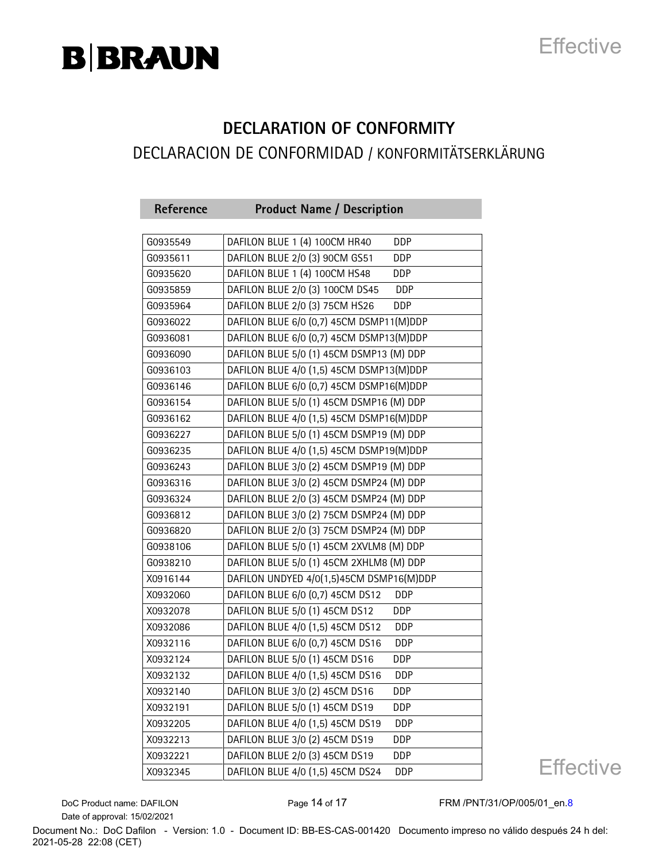## **Effective**

### **DECLARATION OF CONFORMITY** DECLARACION DE CONFORMIDAD / KONFORMITÄTSERKLÄRUNG

| Reference | <b>Product Name / Description</b>              |
|-----------|------------------------------------------------|
|           |                                                |
| G0935549  | DAFILON BLUE 1 (4) 100CM HR40<br><b>DDP</b>    |
| G0935611  | DAFILON BLUE 2/0 (3) 90CM GS51<br>DDP          |
| G0935620  | DAFILON BLUE 1 (4) 100CM HS48<br>DDP           |
| G0935859  | DAFILON BLUE 2/0 (3) 100CM DS45<br>DDP         |
| G0935964  | DAFILON BLUE 2/0 (3) 75CM HS26<br>DDP          |
| G0936022  | DAFILON BLUE 6/0 (0,7) 45CM DSMP11(M)DDP       |
| G0936081  | DAFILON BLUE 6/0 (0,7) 45CM DSMP13(M)DDP       |
| G0936090  | DAFILON BLUE 5/0 (1) 45CM DSMP13 (M) DDP       |
| G0936103  | DAFILON BLUE 4/0 (1,5) 45CM DSMP13(M)DDP       |
| G0936146  | DAFILON BLUE 6/0 (0,7) 45CM DSMP16(M)DDP       |
| G0936154  | DAFILON BLUE 5/0 (1) 45CM DSMP16 (M) DDP       |
| G0936162  | DAFILON BLUE 4/0 (1,5) 45CM DSMP16(M)DDP       |
| G0936227  | DAFILON BLUE 5/0 (1) 45CM DSMP19 (M) DDP       |
| G0936235  | DAFILON BLUE 4/0 (1,5) 45CM DSMP19(M)DDP       |
| G0936243  | DAFILON BLUE 3/0 (2) 45CM DSMP19 (M) DDP       |
| G0936316  | DAFILON BLUE 3/0 (2) 45CM DSMP24 (M) DDP       |
| G0936324  | DAFILON BLUE 2/0 (3) 45CM DSMP24 (M) DDP       |
| G0936812  | DAFILON BLUE 3/0 (2) 75CM DSMP24 (M) DDP       |
| G0936820  | DAFILON BLUE 2/0 (3) 75CM DSMP24 (M) DDP       |
| G0938106  | DAFILON BLUE 5/0 (1) 45CM 2XVLM8 (M) DDP       |
| G0938210  | DAFILON BLUE 5/0 (1) 45CM 2XHLM8 (M) DDP       |
| X0916144  | DAFILON UNDYED 4/0(1,5)45CM DSMP16(M)DDP       |
| X0932060  | DAFILON BLUE 6/0 (0,7) 45CM DS12<br><b>DDP</b> |
| X0932078  | DAFILON BLUE 5/0 (1) 45CM DS12<br>DDP          |
| X0932086  | DAFILON BLUE 4/0 (1,5) 45CM DS12<br><b>DDP</b> |
| X0932116  | DAFILON BLUE 6/0 (0,7) 45CM DS16<br>DDP        |
| X0932124  | DAFILON BLUE 5/0 (1) 45CM DS16<br>DDP          |
| X0932132  | DAFILON BLUE 4/0 (1,5) 45CM DS16<br><b>DDP</b> |
| X0932140  | DAFILON BLUE 3/0 (2) 45CM DS16<br>DDP          |
| X0932191  | DAFILON BLUE 5/0 (1) 45CM DS19<br>DDP          |
| X0932205  | DAFILON BLUE 4/0 (1,5) 45CM DS19<br>DDP        |
| X0932213  | DAFILON BLUE 3/0 (2) 45CM DS19<br><b>DDP</b>   |
| X0932221  | DAFILON BLUE 2/0 (3) 45CM DS19<br>DDP          |
| X0932345  | DAFILON BLUE 4/0 (1,5) 45CM DS24<br>DDP        |

**Effective** 

Date of approval: 15/02/2021

DoC Product name: DAFILON Page 14 of 17 FRM /PNT/31/OP/005/01\_en.8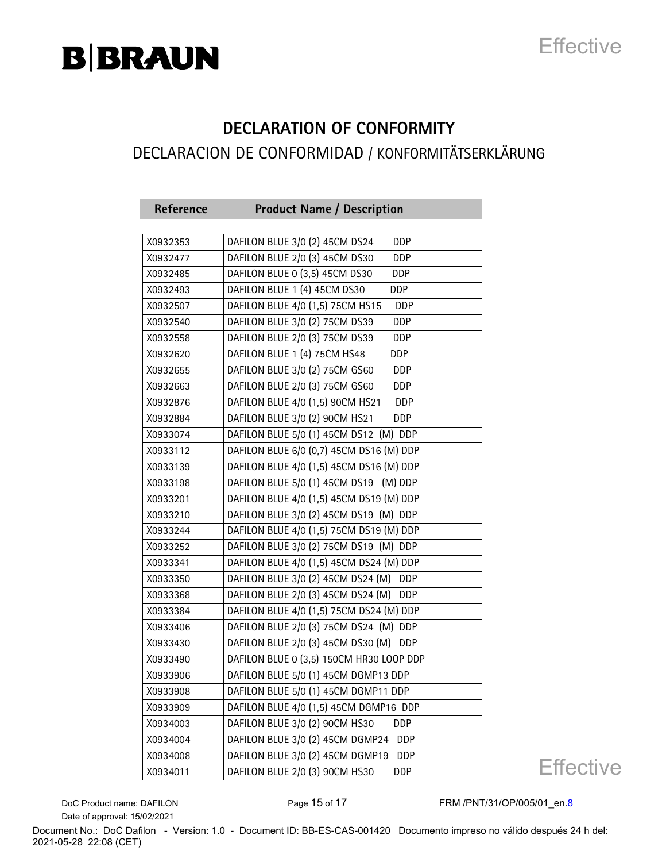## **Effective**

#### **DECLARATION OF CONFORMITY** DECLARACION DE CONFORMIDAD / KONFORMITÄTSERKLÄRUNG

| Reference | <b>Product Name / Description</b>                |
|-----------|--------------------------------------------------|
|           |                                                  |
| X0932353  | DAFILON BLUE 3/0 (2) 45CM DS24<br><b>DDP</b>     |
| X0932477  | DAFILON BLUE 2/0 (3) 45CM DS30<br>DDP            |
| X0932485  | DAFILON BLUE 0 (3,5) 45CM DS30<br>DDP            |
| X0932493  | DAFILON BLUE 1 (4) 45CM DS30<br>DDP              |
| X0932507  | DAFILON BLUE 4/0 (1,5) 75CM HS15<br><b>DDP</b>   |
| X0932540  | DAFILON BLUE 3/0 (2) 75CM DS39<br>DDP            |
| X0932558  | DAFILON BLUE 2/0 (3) 75CM DS39<br>DDP            |
| X0932620  | DAFILON BLUE 1 (4) 75CM HS48<br>DDP              |
| X0932655  | DAFILON BLUE 3/0 (2) 75CM GS60<br><b>DDP</b>     |
| X0932663  | DAFILON BLUE 2/0 (3) 75CM GS60<br><b>DDP</b>     |
| X0932876  | DAFILON BLUE 4/0 (1,5) 90CM HS21<br><b>DDP</b>   |
| X0932884  | DAFILON BLUE 3/0 (2) 90CM HS21<br><b>DDP</b>     |
| X0933074  | DAFILON BLUE 5/0 (1) 45CM DS12 (M) DDP           |
| X0933112  | DAFILON BLUE 6/0 (0,7) 45CM DS16 (M) DDP         |
| X0933139  | DAFILON BLUE 4/0 (1,5) 45CM DS16 (M) DDP         |
| X0933198  | DAFILON BLUE 5/0 (1) 45CM DS19 (M) DDP           |
| X0933201  | DAFILON BLUE 4/0 (1,5) 45CM DS19 (M) DDP         |
| X0933210  | DAFILON BLUE 3/0 (2) 45CM DS19 (M) DDP           |
| X0933244  | DAFILON BLUE 4/0 (1,5) 75CM DS19 (M) DDP         |
| X0933252  | DAFILON BLUE 3/0 (2) 75CM DS19 (M) DDP           |
| X0933341  | DAFILON BLUE 4/0 (1,5) 45CM DS24 (M) DDP         |
| X0933350  | DAFILON BLUE 3/0 (2) 45CM DS24 (M)<br>DDP        |
| X0933368  | DAFILON BLUE 2/0 (3) 45CM DS24 (M)<br>DDP        |
| X0933384  | DAFILON BLUE 4/0 (1,5) 75CM DS24 (M) DDP         |
| X0933406  | DAFILON BLUE 2/0 (3) 75CM DS24 (M) DDP           |
| X0933430  | DAFILON BLUE 2/0 (3) 45CM DS30 (M)<br><b>DDP</b> |
| X0933490  | DAFILON BLUE 0 (3,5) 150CM HR30 LOOP DDP         |
| X0933906  | DAFILON BLUE 5/0 (1) 45CM DGMP13 DDP             |
| X0933908  | DAFILON BLUE 5/0 (1) 45CM DGMP11 DDP             |
| X0933909  | DAFILON BLUE 4/0 (1,5) 45CM DGMP16 DDP           |
| X0934003  | DAFILON BLUE 3/0 (2) 90CM HS30<br>DDP            |
| X0934004  | DAFILON BLUE 3/0 (2) 45CM DGMP24<br><b>DDP</b>   |
| X0934008  | DAFILON BLUE 3/0 (2) 45CM DGMP19<br>DDP          |
| X0934011  | DAFILON BLUE 2/0 (3) 90CM HS30<br>DDP            |

**Effective** 

Date of approval: 15/02/2021

DoC Product name: DAFILON Page 15 of 17 FRM /PNT/31/OP/005/01\_en.8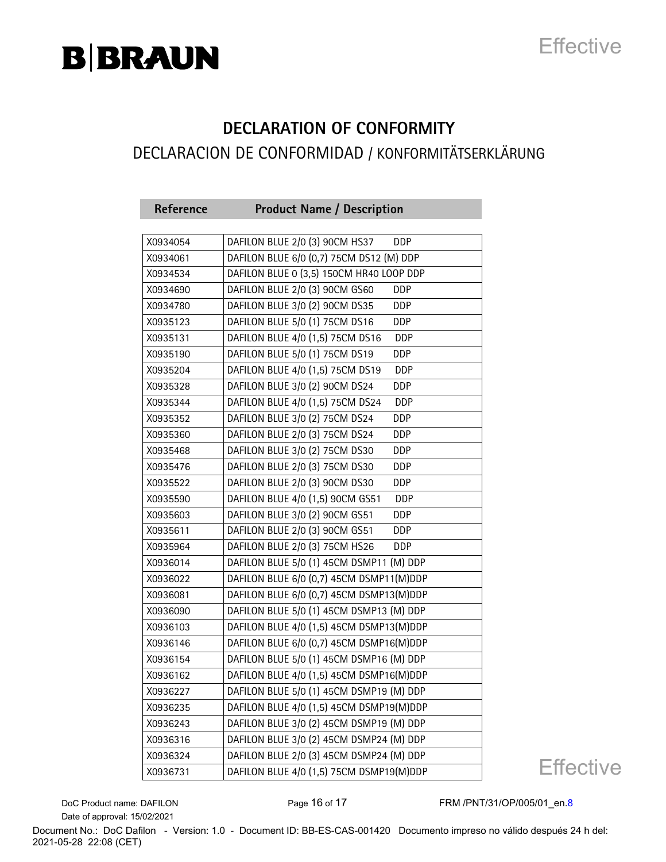## **Effective**

#### **DECLARATION OF CONFORMITY** DECLARACION DE CONFORMIDAD / KONFORMITÄTSERKLÄRUNG

| Reference | <b>Product Name / Description</b>              |
|-----------|------------------------------------------------|
|           |                                                |
| X0934054  | DAFILON BLUE 2/0 (3) 90CM HS37<br><b>DDP</b>   |
| X0934061  | DAFILON BLUE 6/0 (0,7) 75CM DS12 (M) DDP       |
| X0934534  | DAFILON BLUE 0 (3,5) 150CM HR40 LOOP DDP       |
| X0934690  | DAFILON BLUE 2/0 (3) 90CM GS60<br>DDP          |
| X0934780  | DAFILON BLUE 3/0 (2) 90CM DS35<br>DDP          |
| X0935123  | DAFILON BLUE 5/0 (1) 75CM DS16<br>DDP          |
| X0935131  | DAFILON BLUE 4/0 (1,5) 75CM DS16<br><b>DDP</b> |
| X0935190  | DAFILON BLUE 5/0 (1) 75CM DS19<br>DDP          |
| X0935204  | DAFILON BLUE 4/0 (1,5) 75CM DS19<br><b>DDP</b> |
| X0935328  | DAFILON BLUE 3/0 (2) 90CM DS24<br>DDP          |
| X0935344  | DAFILON BLUE 4/0 (1,5) 75CM DS24<br>DDP        |
| X0935352  | DAFILON BLUE 3/0 (2) 75CM DS24<br>DDP          |
| X0935360  | DAFILON BLUE 2/0 (3) 75CM DS24<br>DDP          |
| X0935468  | DAFILON BLUE 3/0 (2) 75CM DS30<br><b>DDP</b>   |
| X0935476  | DAFILON BLUE 2/0 (3) 75CM DS30<br>DDP          |
| X0935522  | DAFILON BLUE 2/0 (3) 90CM DS30<br>DDP          |
| X0935590  | DAFILON BLUE 4/0 (1,5) 90CM GS51<br><b>DDP</b> |
| X0935603  | DAFILON BLUE 3/0 (2) 90CM GS51<br>DDP          |
| X0935611  | DAFILON BLUE 2/0 (3) 90CM GS51<br>DDP          |
| X0935964  | DAFILON BLUE 2/0 (3) 75CM HS26<br>DDP          |
| X0936014  | DAFILON BLUE 5/0 (1) 45CM DSMP11 (M) DDP       |
| X0936022  | DAFILON BLUE 6/0 (0,7) 45CM DSMP11(M)DDP       |
| X0936081  | DAFILON BLUE 6/0 (0,7) 45CM DSMP13(M)DDP       |
| X0936090  | DAFILON BLUE 5/0 (1) 45CM DSMP13 (M) DDP       |
| X0936103  | DAFILON BLUE 4/0 (1,5) 45CM DSMP13(M)DDP       |
| X0936146  | DAFILON BLUE 6/0 (0,7) 45CM DSMP16(M)DDP       |
| X0936154  | DAFILON BLUE 5/0 (1) 45CM DSMP16 (M) DDP       |
| X0936162  | DAFILON BLUE 4/0 (1,5) 45CM DSMP16(M)DDP       |
| X0936227  | DAFILON BLUE 5/0 (1) 45CM DSMP19 (M) DDP       |
| X0936235  | DAFILON BLUE 4/0 (1,5) 45CM DSMP19(M)DDP       |
| X0936243  | DAFILON BLUE 3/0 (2) 45CM DSMP19 (M) DDP       |
| X0936316  | DAFILON BLUE 3/0 (2) 45CM DSMP24 (M) DDP       |
| X0936324  | DAFILON BLUE 2/0 (3) 45CM DSMP24 (M) DDP       |
| X0936731  | DAFILON BLUE 4/0 (1,5) 75CM DSMP19(M)DDP       |

**Effective** 

Date of approval: 15/02/2021

DoC Product name: DAFILON Page 16 of 17 FRM /PNT/31/OP/005/01\_en.8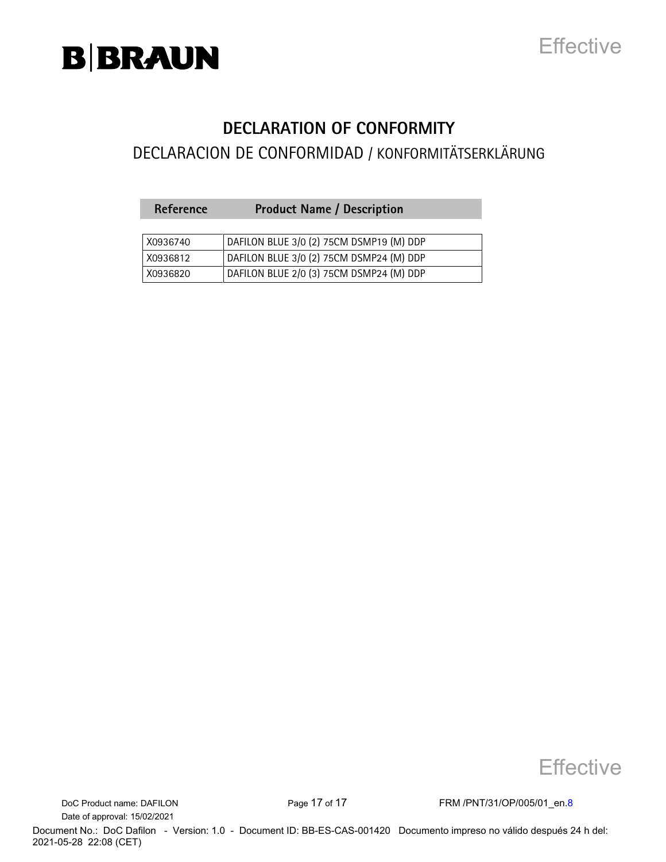

### **Effective**

#### **DECLARATION OF CONFORMITY**

#### DECLARACION DE CONFORMIDAD / KONFORMITÄTSERKLÄRUNG

| <b>Reference</b> | <b>Product Name / Description</b>        |
|------------------|------------------------------------------|
|                  |                                          |
| X0936740         | DAFILON BLUE 3/0 (2) 75CM DSMP19 (M) DDP |
| X0936812         | DAFILON BLUE 3/0 (2) 75CM DSMP24 (M) DDP |
| X0936820         | DAFILON BLUE 2/0 (3) 75CM DSMP24 (M) DDP |



Date of approval: 15/02/2021

DoC Product name: DAFILON Page 17 of 17 FRM /PNT/31/OP/005/01\_en.8